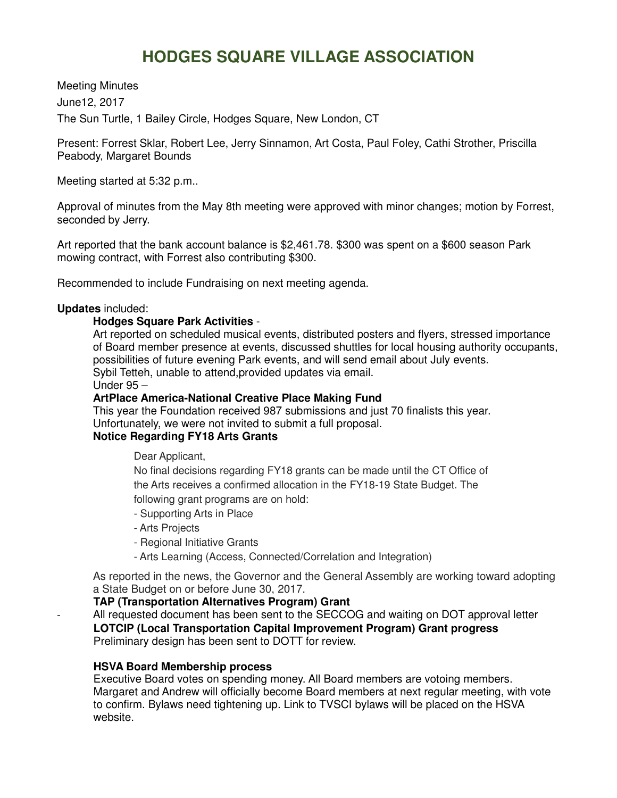# **HODGES SQUARE VILLAGE ASSOCIATION**

Meeting Minutes June12, 2017 The Sun Turtle, 1 Bailey Circle, Hodges Square, New London, CT

Present: Forrest Sklar, Robert Lee, Jerry Sinnamon, Art Costa, Paul Foley, Cathi Strother, Priscilla Peabody, Margaret Bounds

Meeting started at 5:32 p.m..

Approval of minutes from the May 8th meeting were approved with minor changes; motion by Forrest, seconded by Jerry.

Art reported that the bank account balance is \$2,461.78. \$300 was spent on a \$600 season Park mowing contract, with Forrest also contributing \$300.

Recommended to include Fundraising on next meeting agenda.

## **Updates** included:

# **Hodges Square Park Activities** -

Art reported on scheduled musical events, distributed posters and flyers, stressed importance of Board member presence at events, discussed shuttles for local housing authority occupants, possibilities of future evening Park events, and will send email about July events. Sybil Tetteh, unable to attend,provided updates via email.

Under 95 –

## **ArtPlace America-National Creative Place Making Fund**

This year the Foundation received 987 submissions and just 70 finalists this year. Unfortunately, we were not invited to submit a full proposal.

# **Notice Regarding FY18 Arts Grants**

Dear Applicant,

No final decisions regarding FY18 grants can be made until the CT Office of the Arts receives a confirmed allocation in the FY18-19 State Budget. The following grant programs are on hold:

- Supporting Arts in Place
- Arts Projects
- Regional Initiative Grants
- Arts Learning (Access, Connected/Correlation and Integration)

As reported in the news, the Governor and the General Assembly are working toward adopting a State Budget on or before June 30, 2017.

# **TAP (Transportation Alternatives Program) Grant**

All requested document has been sent to the SECCOG and waiting on DOT approval letter **LOTCIP (Local Transportation Capital Improvement Program) Grant progress** Preliminary design has been sent to DOTT for review.

# **HSVA Board Membership process**

Executive Board votes on spending money. All Board members are votoing members. Margaret and Andrew will officially become Board members at next regular meeting, with vote to confirm. Bylaws need tightening up. Link to TVSCI bylaws will be placed on the HSVA website.